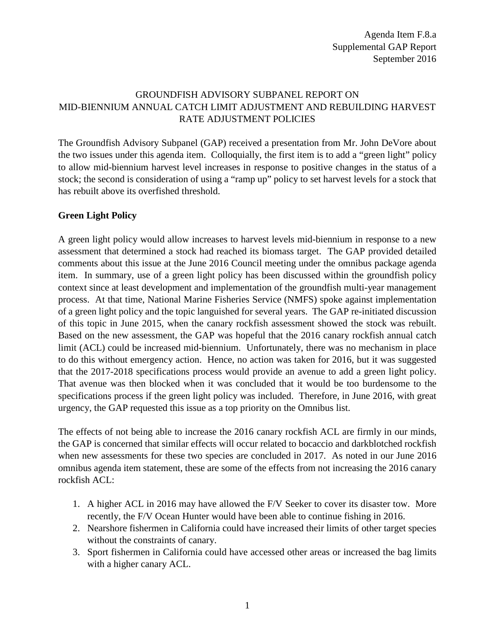## GROUNDFISH ADVISORY SUBPANEL REPORT ON MID-BIENNIUM ANNUAL CATCH LIMIT ADJUSTMENT AND REBUILDING HARVEST RATE ADJUSTMENT POLICIES

The Groundfish Advisory Subpanel (GAP) received a presentation from Mr. John DeVore about the two issues under this agenda item. Colloquially, the first item is to add a "green light" policy to allow mid-biennium harvest level increases in response to positive changes in the status of a stock; the second is consideration of using a "ramp up" policy to set harvest levels for a stock that has rebuilt above its overfished threshold.

## **Green Light Policy**

A green light policy would allow increases to harvest levels mid-biennium in response to a new assessment that determined a stock had reached its biomass target. The GAP provided detailed comments about this issue at the June 2016 Council meeting under the omnibus package agenda item. In summary, use of a green light policy has been discussed within the groundfish policy context since at least development and implementation of the groundfish multi-year management process. At that time, National Marine Fisheries Service (NMFS) spoke against implementation of a green light policy and the topic languished for several years. The GAP re-initiated discussion of this topic in June 2015, when the canary rockfish assessment showed the stock was rebuilt. Based on the new assessment, the GAP was hopeful that the 2016 canary rockfish annual catch limit (ACL) could be increased mid-biennium. Unfortunately, there was no mechanism in place to do this without emergency action. Hence, no action was taken for 2016, but it was suggested that the 2017-2018 specifications process would provide an avenue to add a green light policy. That avenue was then blocked when it was concluded that it would be too burdensome to the specifications process if the green light policy was included. Therefore, in June 2016, with great urgency, the GAP requested this issue as a top priority on the Omnibus list.

The effects of not being able to increase the 2016 canary rockfish ACL are firmly in our minds, the GAP is concerned that similar effects will occur related to bocaccio and darkblotched rockfish when new assessments for these two species are concluded in 2017. As noted in our June 2016 omnibus agenda item statement, these are some of the effects from not increasing the 2016 canary rockfish ACL:

- 1. A higher ACL in 2016 may have allowed the F/V Seeker to cover its disaster tow. More recently, the F/V Ocean Hunter would have been able to continue fishing in 2016.
- 2. Nearshore fishermen in California could have increased their limits of other target species without the constraints of canary.
- 3. Sport fishermen in California could have accessed other areas or increased the bag limits with a higher canary ACL.